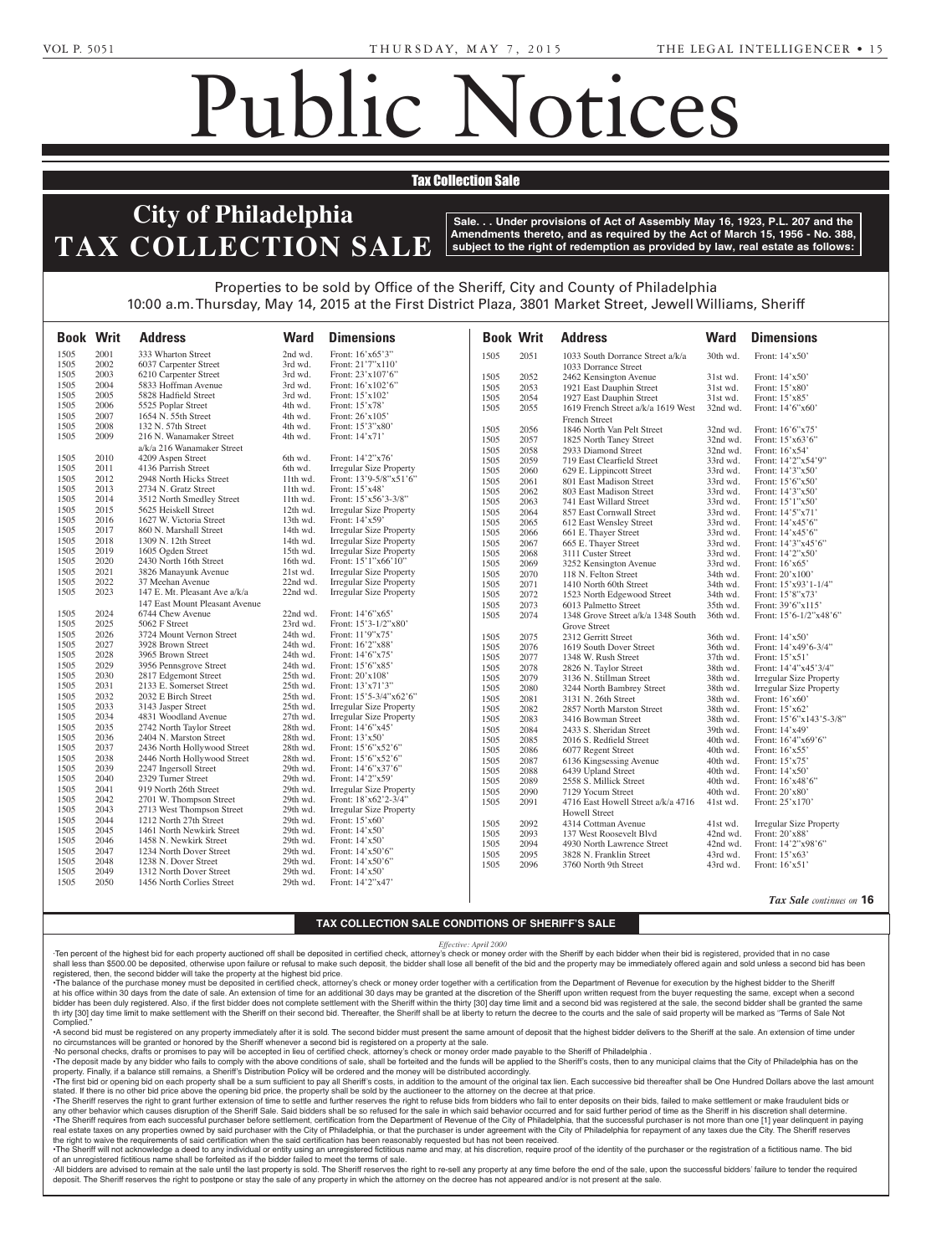Sheriffs Sale Tax Li 5 x 6.75 in.

## Public Notices

### **Tax Collection Sale**

#### **City of Philadelphia TAX COLLECTION SALE** Class 20547  $\blacksquare$

**Sale. . . Under provisions of Act of Assembly May 16, 1923, P.L. 207 and the Amendments thereto, and as required by the Act of March 15, 1956 - No. 388, subject to the right of redemption as provided by law, real estate as follows:**

#### Properties to be sold by Office of the Sheriff, City and County of Philadelphia 10:00 a.m. Thursday, May 14, 2015 at the First District Plaza, 3801 Market Street, Jewell Williams, Sheriff

|      | <b>Book Writ</b> | <b>Address</b>                 | <b>Ward</b> | <b>Dimensions</b>              | <b>Book Writ</b> |      | <b>Address</b>                     | <b>Ward</b> | <b>Dimensions</b>              |
|------|------------------|--------------------------------|-------------|--------------------------------|------------------|------|------------------------------------|-------------|--------------------------------|
| 1505 | 2001             | 333 Wharton Street             | 2nd wd.     | Front: 16'x65'3"               | 1505             | 2051 | 1033 South Dorrance Street a/k/a   | 30th wd.    | Front: 14'x50'                 |
| 1505 | 2002             | 6037 Carpenter Street          | 3rd wd.     | Front: 21'7"x110'              |                  |      | 1033 Dorrance Street               |             |                                |
| 1505 | 2003             | 6210 Carpenter Street          | 3rd wd.     | Front: 23'x107'6"              | 1505             | 2052 | 2462 Kensington Avenue             | 31st wd.    | Front: 14'x50'                 |
| 1505 | 2004             | 5833 Hoffman Avenue            | 3rd wd.     | Front: 16'x102'6"              | 1505             | 2053 | 1921 East Dauphin Street           | 31st wd.    | Front: 15'x80'                 |
| 1505 | 2005             | 5828 Hadfield Street           | 3rd wd.     | Front: 15'x102'                | 1505             | 2054 | 1927 East Dauphin Street           | 31st wd.    | Front: 15'x85'                 |
| 1505 | 2006             | 5525 Poplar Street             | 4th wd.     | Front: 15'x78'                 | 1505             | 2055 | 1619 French Street a/k/a 1619 West | 32nd wd.    | Front: 14'6"x60"               |
| 1505 | 2007             | 1654 N. 55th Street            | 4th wd.     | Front: 26'x105'                |                  |      | <b>French Street</b>               |             |                                |
| 1505 | 2008             | 132 N. 57th Street             | 4th wd.     | Front: 15'3"x80"               | 1505             | 2056 | 1846 North Van Pelt Street         | 32nd wd.    | Front: 16'6"x75'               |
| 1505 | 2009             | 216 N. Wanamaker Street        | 4th wd.     | Front: 14'x71'                 | 1505             | 2057 | 1825 North Taney Street            | 32nd wd.    | Front: 15'x63'6"               |
|      |                  | a/k/a 216 Wanamaker Street     |             |                                | 1505             | 2058 | 2933 Diamond Street                | 32nd wd.    | Front: 16'x54'                 |
| 1505 | 2010             | 4209 Aspen Street              | 6th wd.     | Front: 14'2"x76'               | 1505             | 2059 | 719 East Clearfield Street         | 33rd wd.    | Front: 14'2"x54'9"             |
| 1505 | 2011             | 4136 Parrish Street            | 6th wd.     | <b>Irregular Size Property</b> | 1505             | 2060 | 629 E. Lippincott Street           | 33rd wd.    | Front: 14'3"x50"               |
| 1505 | 2012             | 2948 North Hicks Street        | 11th wd.    | Front: 13'9-5/8"x51'6"         | 1505             | 2061 | 801 East Madison Street            | 33rd wd.    | Front: 15'6"x50'               |
| 1505 | 2013             | 2734 N. Gratz Street           | 11th wd.    | Front: 15'x48'                 | 1505             | 2062 | 803 East Madison Street            | 33rd wd.    | Front: 14'3"x50"               |
| 1505 | 2014             | 3512 North Smedley Street      | 11th wd.    | Front: 15'x56'3-3/8"           | 1505             | 2063 | 741 East Willard Street            | 33rd wd.    | Front: 15'1"x50'               |
| 1505 | 2015             | 5625 Heiskell Street           | 12th wd.    | <b>Irregular Size Property</b> | 1505             | 2064 | 857 East Cornwall Street           | 33rd wd.    | Front: 14'5"x71'               |
| 1505 | 2016             | 1627 W. Victoria Street        | 13th wd.    | Front: 14'x59'                 | 1505             | 2065 | 612 East Wensley Street            | 33rd wd.    | Front: 14'x45'6"               |
| 1505 | 2017             | 860 N. Marshall Street         | 14th wd.    | <b>Irregular Size Property</b> | 1505             | 2066 | 661 E. Thayer Street               | 33rd wd.    | Front: 14'x45'6"               |
| 1505 | 2018             | 1309 N. 12th Street            | 14th wd.    | <b>Irregular Size Property</b> | 1505             | 2067 | 665 E. Thayer Street               | 33rd wd.    | Front: 14'3"x45'6"             |
| 1505 | 2019             | 1605 Ogden Street              | 15th wd.    | <b>Irregular Size Property</b> | 1505             | 2068 | 3111 Custer Street                 | 33rd wd.    | Front: 14'2"x50'               |
| 1505 | 2020             | 2430 North 16th Street         | 16th wd.    | Front: 15'1"x66'10"            | 1505             | 2069 | 3252 Kensington Avenue             | 33rd wd.    | Front: 16'x65'                 |
| 1505 | 2021             | 3826 Manayunk Avenue           | 21st wd.    | <b>Irregular Size Property</b> | 1505             | 2070 | 118 N. Felton Street               | 34th wd.    | Front: 20'x100'                |
| 1505 | 2022             | 37 Meehan Avenue               | 22nd wd.    | <b>Irregular Size Property</b> | 1505             | 2071 | 1410 North 60th Street             | 34th wd.    | Front: 15'x93'1-1/4"           |
| 1505 | 2023             | 147 E. Mt. Pleasant Ave a/k/a  | 22nd wd.    | <b>Irregular Size Property</b> | 1505             | 2072 | 1523 North Edgewood Street         | 34th wd.    | Front: 15'8"x73'               |
|      |                  | 147 East Mount Pleasant Avenue |             |                                | 1505             | 2073 | 6013 Palmetto Street               | 35th wd.    | Front: 39'6"x115'              |
| 1505 | 2024             | 6744 Chew Avenue               | 22nd wd.    | Front: 14'6"x65'               | 1505             | 2074 | 1348 Grove Street a/k/a 1348 South | 36th wd.    | Front: 15'6-1/2"x48'6"         |
| 1505 | 2025             | 5062 F Street                  | 23rd wd.    | Front: 15'3-1/2"x80'           |                  |      |                                    |             |                                |
| 1505 | 2026             | 3724 Mount Vernon Street       | 24th wd.    | Front: 11'9"x75'               |                  |      | Grove Street                       |             |                                |
| 1505 | 2027             | 3928 Brown Street              | 24th wd.    | Front: 16'2"x88'               | 1505             | 2075 | 2312 Gerritt Street                | 36th wd.    | Front: 14'x50'                 |
| 1505 | 2028             | 3965 Brown Street              | 24th wd.    | Front: 14'6"x75'               | 1505             | 2076 | 1619 South Dover Street            | 36th wd.    | Front: 14'x49'6-3/4"           |
| 1505 | 2029             | 3956 Pennsgrove Street         | 24th wd.    | Front: 15'6"x85'               | 1505             | 2077 | 1348 W. Rush Street                | 37th wd.    | Front: 15'x51'                 |
| 1505 | 2030             | 2817 Edgemont Street           | 25th wd.    | Front: 20'x108'                | 1505             | 2078 | 2826 N. Taylor Street              | 38th wd.    | Front: 14'4"x45'3/4"           |
| 1505 | 2031             | 2133 E. Somerset Street        | 25th wd.    | Front: 13'x71'3"               | 1505             | 2079 | 3136 N. Stillman Street            | 38th wd.    | <b>Irregular Size Property</b> |
| 1505 | 2032             | 2032 E Birch Street            | 25th wd.    | Front: 15'5-3/4"x62'6"         | 1505             | 2080 | 3244 North Bambrey Street          | 38th wd.    | <b>Irregular Size Property</b> |
| 1505 | 2033             | 3143 Jasper Street             | 25th wd.    | Irregular Size Property        | 1505             | 2081 | 3131 N. 26th Street                | 38th wd.    | Front: 16'x60'                 |
| 1505 | 2034             | 4831 Woodland Avenue           | 27th wd.    | Irregular Size Property        | 1505             | 2082 | 2857 North Marston Street          | 38th wd.    | Front: 15'x62'                 |
| 1505 | 2035             | 2742 North Taylor Street       | 28th wd.    | Front: 14'6"x45'               | 1505             | 2083 | 3416 Bowman Street                 | 38th wd.    | Front: 15'6"x143'5-3/8"        |
| 1505 | 2036             | 2404 N. Marston Street         | 28th wd.    | Front: 13'x50'                 | 1505             | 2084 | 2433 S. Sheridan Street            | 39th wd.    | Front: 14'x49'                 |
| 1505 | 2037             | 2436 North Hollywood Street    | 28th wd.    | Front: 15'6"x52'6"             | 1505             | 2085 | 2016 S. Redfield Street            | 40th wd.    | Front: 16'4"x69'6"             |
| 1505 | 2038             | 2446 North Hollywood Street    | 28th wd.    | Front: 15'6"x52'6"             | 1505             | 2086 | 6077 Regent Street                 | 40th wd.    | Front: 16'x55'                 |
| 1505 | 2039             | 2247 Ingersoll Street          | 29th wd.    | Front: 14'6"x37'6"             | 1505             | 2087 | 6136 Kingsessing Avenue            | 40th wd.    | Front: 15'x75'                 |
| 1505 | 2040             | 2329 Turner Street             | 29th wd.    | Front: 14'2"x59'               | 1505             | 2088 | 6439 Upland Street                 | 40th wd.    | Front: 14'x50'                 |
| 1505 | 2041             | 919 North 26th Street          | 29th wd.    | <b>Irregular Size Property</b> | 1505             | 2089 | 2558 S. Millick Street             | 40th wd.    | Front: 16'x48'6"               |
| 1505 | 2042             | 2701 W. Thompson Street        | 29th wd.    | Front: 18'x62'2-3/4"           | 1505             | 2090 | 7129 Yocum Street                  | $40th$ wd.  | Front: 20'x80'                 |
| 1505 | 2043             | 2713 West Thompson Street      | 29th wd.    | <b>Irregular Size Property</b> | 1505             | 2091 | 4716 East Howell Street a/k/a 4716 | 41st wd.    | Front: 25'x170'                |
| 1505 | 2044             | 1212 North 27th Street         | 29th wd.    | Front: 15'x60'                 |                  |      | <b>Howell Street</b>               |             |                                |
| 1505 | 2045             | 1461 North Newkirk Street      | 29th wd.    | Front: 14'x50'                 | 1505             | 2092 | 4314 Cottman Avenue                | 41st wd.    | <b>Irregular Size Property</b> |
| 1505 | 2046             | 1458 N. Newkirk Street         | 29th wd.    | Front: 14'x50'                 | 1505             | 2093 | 137 West Roosevelt Blvd            | 42nd wd.    | Front: 20'x88'                 |
| 1505 | 2047             | 1234 North Dover Street        | 29th wd.    | Front: 14'x50'6"               | 1505             | 2094 | 4930 North Lawrence Street         | 42nd wd.    | Front: 14'2"x98'6"             |
| 1505 | 2048             | 1238 N. Dover Street           | 29th wd.    | Front: 14'x50'6"               | 1505             | 2095 | 3828 N. Franklin Street            | 43rd wd.    | Front: 15'x63'                 |
| 1505 | 2049             | 1312 North Dover Street        | 29th wd.    | Front: 14'x50'                 | 1505             | 2096 | 3760 North 9th Street              | 43rd wd.    | Front: 16'x51                  |
| 1505 | 2050             | 1456 North Corlies Street      | 29th wd.    | Front: 14'2"x47                |                  |      |                                    |             |                                |
|      |                  |                                |             |                                |                  |      |                                    |             |                                |
|      |                  |                                |             |                                |                  |      |                                    |             | Tax Sale continues on 16       |

#### **TAX COLLECTION SALE CONDITIONS OF SHERIFF'S SALE**

*Effective: April 2000*

·Ten percent of the highest bid for each property auctioned off shall be deposited in certified check, attorney's check or money order with the Sheriff by each bidder when their bid is registered, provided that in no case shall less than \$500.00 be deposited, otherwise upon failure or refusal to make such deposit, the bidder shall lose all benefit of the bid and the property may be immediately offered again and sold unless a second bid has registered, then, the second bidder will take the property at the highest bid price.

•The balance of the purchase money must be deposited in certified check, attorney's check or money order together with a certification from the Department of Revenue for execution by the highest bidder to the Sheriff at his office within 30 days from the date of sale. An extension of time for an additional 30 days may be granted at the discretion of the Sheriff upon written request from the buyer requesting the same, except when a second bidder has been duly registered. Also, if the first bidder does not complete settlement with the Sheriff within the thirty [30] day time limit and a second bid was registered at the sale, the second bidder shall be granted th irty [30] day time limit to make settlement with the Sheriff on their second bid. Thereafter, the Sheriff shall be at liberty to return the decree to the courts and the sale of said property will be marked as "Terms of Complied.

•A second bid must be registered on any property immediately after it is sold. The second bidder must present the same amount of deposit that the highest bidder delivers to the Sheriff at the sale. An extension of time under no circumstances will be granted or honored by the Sheriff whenever a second bid is registered on a property at the sale.

·No personal checks, drafts or promises to pay will be accepted in lieu of certified check, attorney's check or money order made payable to the Sheriff of Philadelphia .

The deposit made by any bidder who fails to comply with the above conditions of sale, shall be forteited and the funds will be applied to the Sheriff's costs, then to any municipal claims that the City of Philadelphia has property. Finally, if a balance still remains, a Sheriff's Distribution Policy will be ordered and the money will be distributed accordingly.

•The first bid or opening bid on each property shall be a sum sufficient to pay all Sheriff's costs, in addition to the amount of the original tax lien. Each successive bid thereafter shall be One Hundred Dollars above the stated. If there is no other bid price above the opening bid price, the property shall be sold by the auctioneer to the attorney on the decree at that price.

·The Sheriff reserves the right to grant further extension of time to settle and further reserves the right to refuse bids from bidders who fail to enter deposits on their bids, failed to make settlement or make fraudulent any other behavior which causes disruption of the Sheriff Sale. Said bidders shall be so refused for the sale in which said behavior occurred and for said further period of time as the Sheriff in his discretion shall deter . The Sheriff requires from each successful purchaser before settlement. certification from the Department of Revenue of the City of Philadelphia, that the successful purchaser is not more than one [1] year delinquent in p real estate taxes on any properties owned by said purchaser with the City of Philadelphia, or that the purchaser is under agreement with the City of Philadelphia for repayment of any taxes due the City. The Sheriff reserve the right to waive the requirements of said certification when the said certification has been reasonably requested but has not been received.

. The Sheriff will not acknowledge a deed to any individual or entity using an unregistered fictitious name and may, at his discretion, require proof of the identity of the purchaser or the registration of a fictitious nam of an unregistered fictitious name shall be forfeited as if the bidder failed to meet the terms of sale.

All bidders are advised to remain at the sale until the last property is sold. The Sheriff reserves the right to re-sell any property at any time before the end of the sale, upon the successful bidders' failure to tender t deposit. The Sheriff reserves the right to postpone or stay the sale of any property in which the attorney on the decree has not appeared and/or is not present at the sale.